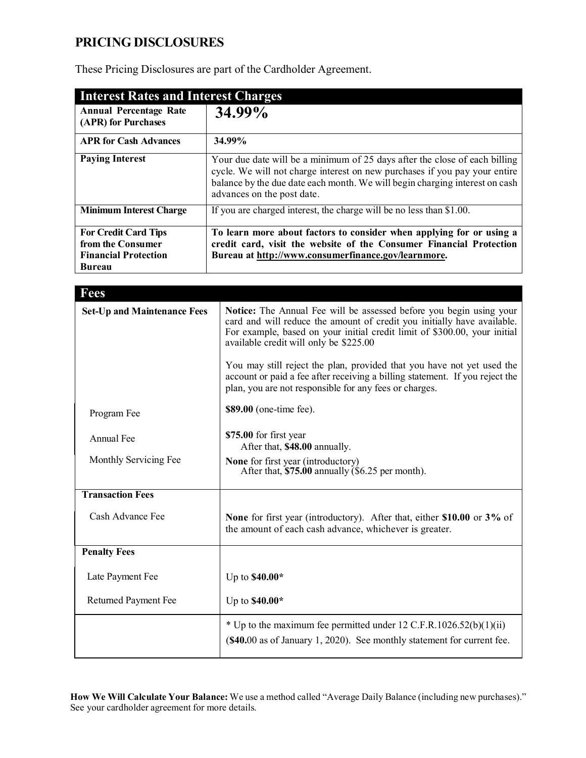# **PRICING DISCLOSURES**

These Pricing Disclosures are part of the Cardholder Agreement.

| <b>Interest Rates and Interest Charges</b>                                                       |                                                                                                                                                                                                                                                                       |
|--------------------------------------------------------------------------------------------------|-----------------------------------------------------------------------------------------------------------------------------------------------------------------------------------------------------------------------------------------------------------------------|
| <b>Annual Percentage Rate</b><br>(APR) for Purchases                                             | 34.99%                                                                                                                                                                                                                                                                |
| <b>APR for Cash Advances</b>                                                                     | 34.99%                                                                                                                                                                                                                                                                |
| <b>Paying Interest</b>                                                                           | Your due date will be a minimum of 25 days after the close of each billing<br>cycle. We will not charge interest on new purchases if you pay your entire<br>balance by the due date each month. We will begin charging interest on cash<br>advances on the post date. |
| <b>Minimum Interest Charge</b>                                                                   | If you are charged interest, the charge will be no less than \$1.00.                                                                                                                                                                                                  |
| <b>For Credit Card Tips</b><br>from the Consumer<br><b>Financial Protection</b><br><b>Bureau</b> | To learn more about factors to consider when applying for or using a<br>credit card, visit the website of the Consumer Financial Protection<br>Bureau at http://www.consumerfinance.gov/learnmore.                                                                    |

| <b>Fees</b>                        |                                                                                                                                                                                                                                                                       |
|------------------------------------|-----------------------------------------------------------------------------------------------------------------------------------------------------------------------------------------------------------------------------------------------------------------------|
| <b>Set-Up and Maintenance Fees</b> | Notice: The Annual Fee will be assessed before you begin using your<br>card and will reduce the amount of credit you initially have available.<br>For example, based on your initial credit limit of \$300.00, your initial<br>available credit will only be \$225.00 |
|                                    | You may still reject the plan, provided that you have not yet used the<br>account or paid a fee after receiving a billing statement. If you reject the<br>plan, you are not responsible for any fees or charges.                                                      |
| Program Fee                        | \$89.00 (one-time fee).                                                                                                                                                                                                                                               |
| Annual Fee                         | \$75.00 for first year<br>After that, \$48.00 annually.                                                                                                                                                                                                               |
| Monthly Servicing Fee              | <b>None</b> for first year (introductory)<br>After that, $$75.00$ annually ( $$6.25$ per month).                                                                                                                                                                      |
| <b>Transaction Fees</b>            |                                                                                                                                                                                                                                                                       |
| Cash Advance Fee                   | None for first year (introductory). After that, either \$10.00 or 3% of<br>the amount of each cash advance, whichever is greater.                                                                                                                                     |
| <b>Penalty Fees</b>                |                                                                                                                                                                                                                                                                       |
| Late Payment Fee                   | Up to $$40.00*$                                                                                                                                                                                                                                                       |
| <b>Returned Payment Fee</b>        | Up to $$40.00*$                                                                                                                                                                                                                                                       |
|                                    | * Up to the maximum fee permitted under 12 C.F.R.1026.52(b)(1)(ii)<br>(\$40.00 as of January 1, 2020). See monthly statement for current fee.                                                                                                                         |

**How We Will Calculate Your Balance:** We use a method called "Average Daily Balance (including new purchases)." See your cardholder agreement for more details.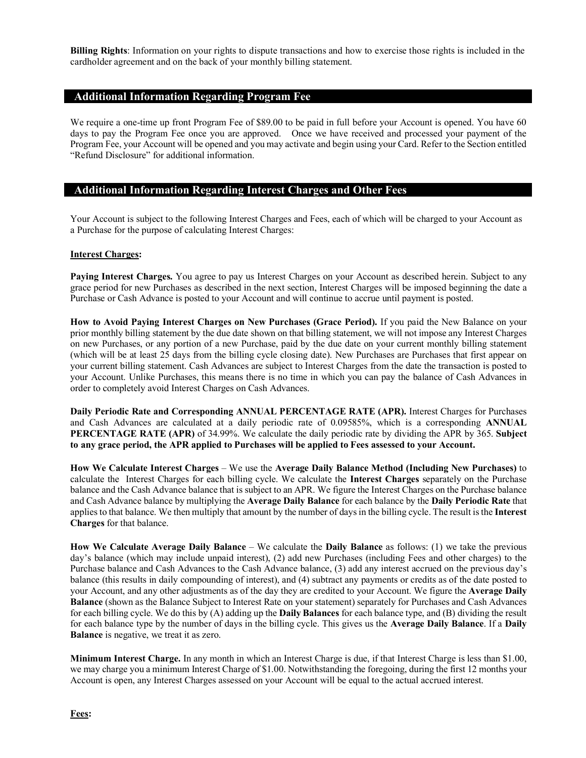**Billing Rights**: Information on your rights to dispute transactions and how to exercise those rights is included in the cardholder agreement and on the back of your monthly billing statement.

# **Additional Information Regarding Program Fee**

We require a one-time up front Program Fee of \$89.00 to be paid in full before your Account is opened. You have 60 days to pay the Program Fee once you are approved. Once we have received and processed your payment of the Program Fee, your Account will be opened and you may activate and begin using your Card. Refer to the Section entitled "Refund Disclosure" for additional information.

## **Additional Information Regarding Interest Charges and Other Fees**

Your Account is subject to the following Interest Charges and Fees, each of which will be charged to your Account as a Purchase for the purpose of calculating Interest Charges:

#### **Interest Charges:**

**Paying Interest Charges.** You agree to pay us Interest Charges on your Account as described herein. Subject to any grace period for new Purchases as described in the next section, Interest Charges will be imposed beginning the date a Purchase or Cash Advance is posted to your Account and will continue to accrue until payment is posted.

**How to Avoid Paying Interest Charges on New Purchases (Grace Period).** If you paid the New Balance on your prior monthly billing statement by the due date shown on that billing statement, we will not impose any Interest Charges on new Purchases, or any portion of a new Purchase, paid by the due date on your current monthly billing statement (which will be at least 25 days from the billing cycle closing date). New Purchases are Purchases that first appear on your current billing statement. Cash Advances are subject to Interest Charges from the date the transaction is posted to your Account. Unlike Purchases, this means there is no time in which you can pay the balance of Cash Advances in order to completely avoid Interest Charges on Cash Advances.

**Daily Periodic Rate and Corresponding ANNUAL PERCENTAGE RATE (APR).** Interest Charges for Purchases and Cash Advances are calculated at a daily periodic rate of 0.09585%, which is a corresponding **ANNUAL PERCENTAGE RATE (APR)** of 34.99%. We calculate the daily periodic rate by dividing the APR by 365. **Subject to any grace period, the APR applied to Purchases will be applied to Fees assessed to your Account.**

**How We Calculate Interest Charges** – We use the **Average Daily Balance Method (Including New Purchases)** to calculate the Interest Charges for each billing cycle. We calculate the **Interest Charges** separately on the Purchase balance and the Cash Advance balance that is subject to an APR. We figure the Interest Charges on the Purchase balance and Cash Advance balance by multiplying the **Average Daily Balance** for each balance by the **Daily Periodic Rate** that applies to that balance. We then multiply that amount by the number of days in the billing cycle. The result is the **Interest Charges** for that balance.

**How We Calculate Average Daily Balance** – We calculate the **Daily Balance** as follows: (1) we take the previous day's balance (which may include unpaid interest), (2) add new Purchases (including Fees and other charges) to the Purchase balance and Cash Advances to the Cash Advance balance, (3) add any interest accrued on the previous day's balance (this results in daily compounding of interest), and (4) subtract any payments or credits as of the date posted to your Account, and any other adjustments as of the day they are credited to your Account. We figure the **Average Daily Balance** (shown as the Balance Subject to Interest Rate on your statement) separately for Purchases and Cash Advances for each billing cycle. We do this by (A) adding up the **Daily Balances** for each balance type, and (B) dividing the result for each balance type by the number of days in the billing cycle. This gives us the **Average Daily Balance**. If a **Daily Balance** is negative, we treat it as zero.

**Minimum Interest Charge.** In any month in which an Interest Charge is due, if that Interest Charge is less than \$1.00, we may charge you a minimum Interest Charge of \$1.00. Notwithstanding the foregoing, during the first 12 months your Account is open, any Interest Charges assessed on your Account will be equal to the actual accrued interest.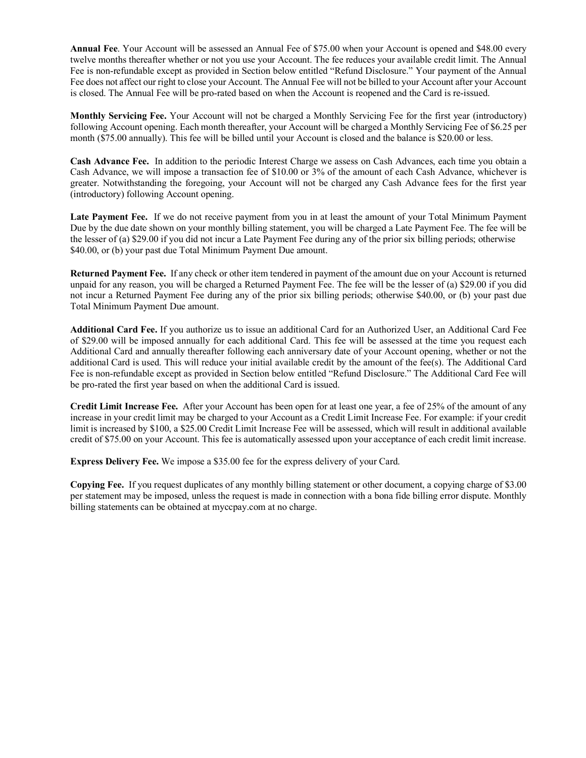**Annual Fee**. Your Account will be assessed an Annual Fee of \$75.00 when your Account is opened and \$48.00 every twelve months thereafter whether or not you use your Account. The fee reduces your available credit limit. The Annual Fee is non-refundable except as provided in Section below entitled "Refund Disclosure." Your payment of the Annual Fee does not affect our right to close your Account. The Annual Fee will not be billed to your Account after your Account is closed. The Annual Fee will be pro-rated based on when the Account is reopened and the Card is re-issued.

**Monthly Servicing Fee.** Your Account will not be charged a Monthly Servicing Fee for the first year (introductory) following Account opening. Each month thereafter, your Account will be charged a Monthly Servicing Fee of \$6.25 per month (\$75.00 annually). This fee will be billed until your Account is closed and the balance is \$20.00 or less.

**Cash Advance Fee.** In addition to the periodic Interest Charge we assess on Cash Advances, each time you obtain a Cash Advance, we will impose a transaction fee of \$10.00 or 3% of the amount of each Cash Advance, whichever is greater. Notwithstanding the foregoing, your Account will not be charged any Cash Advance fees for the first year (introductory) following Account opening.

**Late Payment Fee.** If we do not receive payment from you in at least the amount of your Total Minimum Payment Due by the due date shown on your monthly billing statement, you will be charged a Late Payment Fee. The fee will be the lesser of (a) \$29.00 if you did not incur a Late Payment Fee during any of the prior six billing periods; otherwise \$40.00, or (b) your past due Total Minimum Payment Due amount.

**Returned Payment Fee.** If any check or other item tendered in payment of the amount due on your Account is returned unpaid for any reason, you will be charged a Returned Payment Fee. The fee will be the lesser of (a) \$29.00 if you did not incur a Returned Payment Fee during any of the prior six billing periods; otherwise \$40.00, or (b) your past due Total Minimum Payment Due amount.

**Additional Card Fee.** If you authorize us to issue an additional Card for an Authorized User, an Additional Card Fee of \$29.00 will be imposed annually for each additional Card. This fee will be assessed at the time you request each Additional Card and annually thereafter following each anniversary date of your Account opening, whether or not the additional Card is used. This will reduce your initial available credit by the amount of the fee(s). The Additional Card Fee is non-refundable except as provided in Section below entitled "Refund Disclosure." The Additional Card Fee will be pro-rated the first year based on when the additional Card is issued.

**Credit Limit Increase Fee.** After your Account has been open for at least one year, a fee of 25% of the amount of any increase in your credit limit may be charged to your Account as a Credit Limit Increase Fee. For example: if your credit limit is increased by \$100, a \$25.00 Credit Limit Increase Fee will be assessed, which will result in additional available credit of \$75.00 on your Account. This fee is automatically assessed upon your acceptance of each credit limit increase.

**Express Delivery Fee.** We impose a \$35.00 fee for the express delivery of your Card.

**Copying Fee.** If you request duplicates of any monthly billing statement or other document, a copying charge of \$3.00 per statement may be imposed, unless the request is made in connection with a bona fide billing error dispute. Monthly billing statements can be obtained at myccpay.com at no charge.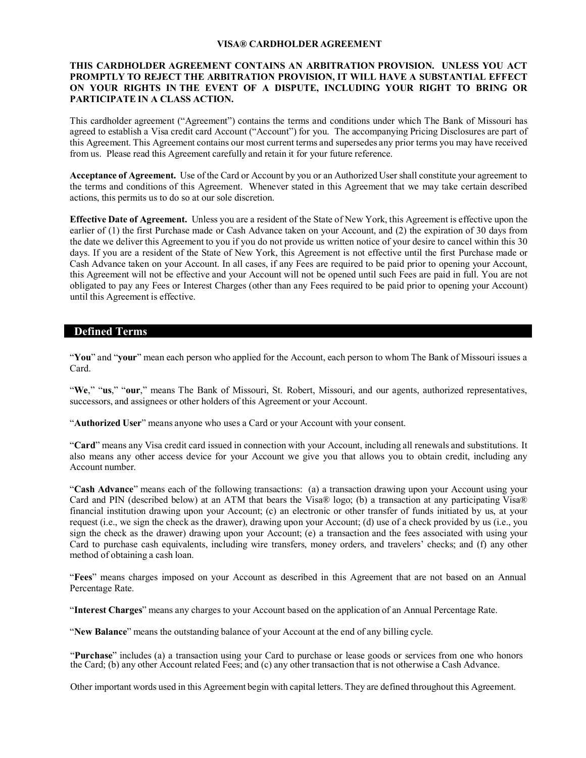#### **VISA® CARDHOLDER AGREEMENT**

### **THIS CARDHOLDER AGREEMENT CONTAINS AN ARBITRATION PROVISION. UNLESS YOU ACT PROMPTLY TO REJECT THE ARBITRATION PROVISION, IT WILL HAVE A SUBSTANTIAL EFFECT ON YOUR RIGHTS IN THE EVENT OF A DISPUTE, INCLUDING YOUR RIGHT TO BRING OR PARTICIPATE IN A CLASS ACTION.**

This cardholder agreement ("Agreement") contains the terms and conditions under which The Bank of Missouri has agreed to establish a Visa credit card Account ("Account") for you. The accompanying Pricing Disclosures are part of this Agreement. This Agreement contains our most current terms and supersedes any prior terms you may have received from us. Please read this Agreement carefully and retain it for your future reference.

**Acceptance of Agreement.** Use of the Card or Account by you or an Authorized User shall constitute your agreement to the terms and conditions of this Agreement. Whenever stated in this Agreement that we may take certain described actions, this permits us to do so at our sole discretion.

**Effective Date of Agreement.** Unless you are a resident of the State of New York, this Agreement is effective upon the earlier of (1) the first Purchase made or Cash Advance taken on your Account, and (2) the expiration of 30 days from the date we deliver this Agreement to you if you do not provide us written notice of your desire to cancel within this 30 days. If you are a resident of the State of New York, this Agreement is not effective until the first Purchase made or Cash Advance taken on your Account. In all cases, if any Fees are required to be paid prior to opening your Account, this Agreement will not be effective and your Account will not be opened until such Fees are paid in full. You are not obligated to pay any Fees or Interest Charges (other than any Fees required to be paid prior to opening your Account) until this Agreement is effective.

## **Defined Terms**

"**You**" and "**your**" mean each person who applied for the Account, each person to whom The Bank of Missouri issues a Card.

"**We**," "**us**," "**our**," means The Bank of Missouri, St. Robert, Missouri, and our agents, authorized representatives, successors, and assignees or other holders of this Agreement or your Account.

"**Authorized User**" means anyone who uses a Card or your Account with your consent.

"**Card**" means any Visa credit card issued in connection with your Account, including all renewals and substitutions. It also means any other access device for your Account we give you that allows you to obtain credit, including any Account number.

"**Cash Advance**" means each of the following transactions: (a) a transaction drawing upon your Account using your Card and PIN (described below) at an ATM that bears the Visa® logo; (b) a transaction at any participating Visa® financial institution drawing upon your Account; (c) an electronic or other transfer of funds initiated by us, at your request (i.e., we sign the check as the drawer), drawing upon your Account; (d) use of a check provided by us (i.e., you sign the check as the drawer) drawing upon your Account; (e) a transaction and the fees associated with using your Card to purchase cash equivalents, including wire transfers, money orders, and travelers' checks; and (f) any other method of obtaining a cash loan.

"**Fees**" means charges imposed on your Account as described in this Agreement that are not based on an Annual Percentage Rate.

"**Interest Charges**" means any charges to your Account based on the application of an Annual Percentage Rate.

"**New Balance**" means the outstanding balance of your Account at the end of any billing cycle.

"**Purchase**" includes (a) a transaction using your Card to purchase or lease goods or services from one who honors the Card; (b) any other Account related Fees; and (c) any other transaction that is not otherwise a Cash Advance.

Other important words used in this Agreement begin with capital letters. They are defined throughout this Agreement.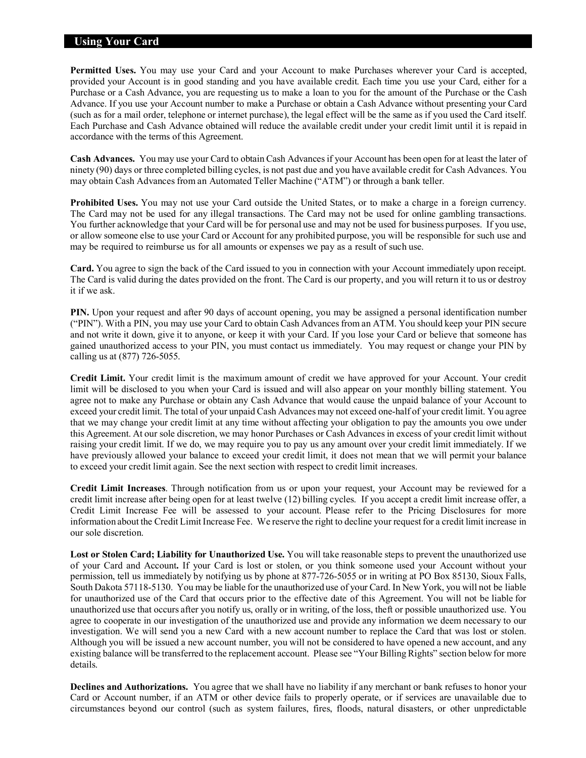## **Using Your Card**

**Permitted Uses.** You may use your Card and your Account to make Purchases wherever your Card is accepted, provided your Account is in good standing and you have available credit. Each time you use your Card, either for a Purchase or a Cash Advance, you are requesting us to make a loan to you for the amount of the Purchase or the Cash Advance. If you use your Account number to make a Purchase or obtain a Cash Advance without presenting your Card (such as for a mail order, telephone or internet purchase), the legal effect will be the same as if you used the Card itself. Each Purchase and Cash Advance obtained will reduce the available credit under your credit limit until it is repaid in accordance with the terms of this Agreement.

**Cash Advances.** You may use your Card to obtain Cash Advancesif your Account has been open for at least the later of ninety (90) days or three completed billing cycles, is not past due and you have available credit for Cash Advances. You may obtain Cash Advances from an Automated Teller Machine ("ATM") or through a bank teller.

**Prohibited Uses.** You may not use your Card outside the United States, or to make a charge in a foreign currency. The Card may not be used for any illegal transactions. The Card may not be used for online gambling transactions. You further acknowledge that your Card will be for personal use and may not be used for business purposes. If you use, or allow someone else to use your Card or Account for any prohibited purpose, you will be responsible for such use and may be required to reimburse us for all amounts or expenses we pay as a result of such use.

**Card.** You agree to sign the back of the Card issued to you in connection with your Account immediately upon receipt. The Card is valid during the dates provided on the front. The Card is our property, and you will return it to us or destroy it if we ask.

**PIN.** Upon your request and after 90 days of account opening, you may be assigned a personal identification number ("PIN"). With a PIN, you may use your Card to obtain Cash Advancesfrom an ATM. You should keep your PIN secure and not write it down, give it to anyone, or keep it with your Card. If you lose your Card or believe that someone has gained unauthorized access to your PIN, you must contact us immediately. You may request or change your PIN by calling us at (877) 726-5055.

**Credit Limit.** Your credit limit is the maximum amount of credit we have approved for your Account. Your credit limit will be disclosed to you when your Card is issued and will also appear on your monthly billing statement. You agree not to make any Purchase or obtain any Cash Advance that would cause the unpaid balance of your Account to exceed your credit limit. The total of your unpaid Cash Advances may not exceed one-half of your credit limit. You agree that we may change your credit limit at any time without affecting your obligation to pay the amounts you owe under this Agreement. At our sole discretion, we may honor Purchases or Cash Advances in excess of your credit limit without raising your credit limit. If we do, we may require you to pay us any amount over your credit limit immediately. If we have previously allowed your balance to exceed your credit limit, it does not mean that we will permit your balance to exceed your credit limit again. See the next section with respect to credit limit increases.

**Credit Limit Increases**. Through notification from us or upon your request, your Account may be reviewed for a credit limit increase after being open for at least twelve (12) billing cycles. If you accept a credit limit increase offer, a Credit Limit Increase Fee will be assessed to your account. Please refer to the Pricing Disclosures for more information about the Credit Limit Increase Fee. We reserve the right to decline your request for a credit limit increase in our sole discretion.

**Lost or Stolen Card; Liability for Unauthorized Use.** You will take reasonable steps to prevent the unauthorized use of your Card and Account**.** If your Card is lost or stolen, or you think someone used your Account without your permission, tell us immediately by notifying us by phone at 877-726-5055 or in writing at PO Box 85130, Sioux Falls, South Dakota 57118-5130. You may be liable for the unauthorized use of your Card. In New York, you will not be liable for unauthorized use of the Card that occurs prior to the effective date of this Agreement. You will not be liable for unauthorized use that occurs after you notify us, orally or in writing, of the loss, theft or possible unauthorized use. You agree to cooperate in our investigation of the unauthorized use and provide any information we deem necessary to our investigation. We will send you a new Card with a new account number to replace the Card that was lost or stolen. Although you will be issued a new account number, you will not be considered to have opened a new account, and any existing balance will be transferred to the replacement account. Please see "Your Billing Rights" section belowfor more details.

**Declines and Authorizations.** You agree that we shall have no liability if any merchant or bank refuses to honor your Card or Account number, if an ATM or other device fails to properly operate, or if services are unavailable due to circumstances beyond our control (such as system failures, fires, floods, natural disasters, or other unpredictable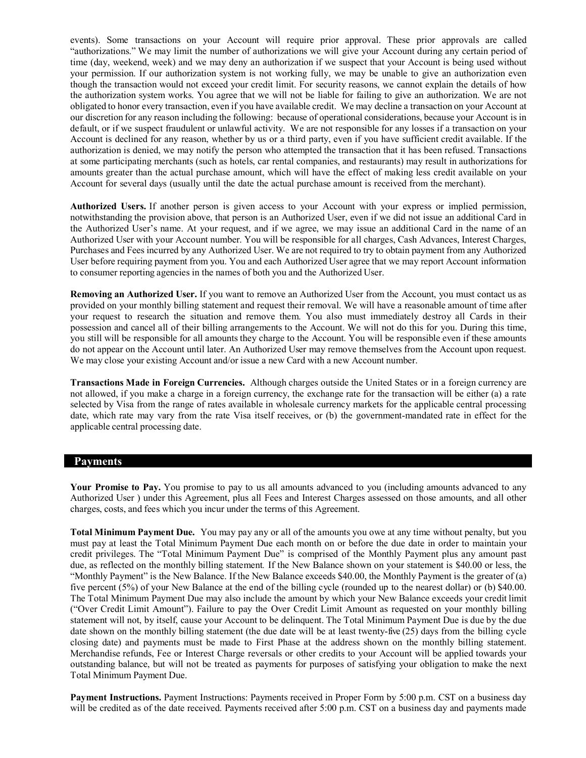events). Some transactions on your Account will require prior approval. These prior approvals are called "authorizations." We may limit the number of authorizations we will give your Account during any certain period of time (day, weekend, week) and we may deny an authorization if we suspect that your Account is being used without your permission. If our authorization system is not working fully, we may be unable to give an authorization even though the transaction would not exceed your credit limit. For security reasons, we cannot explain the details of how the authorization system works. You agree that we will not be liable for failing to give an authorization. We are not obligated to honor every transaction, even if you have available credit. We may decline a transaction on your Account at our discretion for any reason including the following: because of operational considerations, because your Account is in default, or if we suspect fraudulent or unlawful activity. We are not responsible for any losses if a transaction on your Account is declined for any reason, whether by us or a third party, even if you have sufficient credit available. If the authorization is denied, we may notify the person who attempted the transaction that it has been refused. Transactions at some participating merchants (such as hotels, car rental companies, and restaurants) may result in authorizations for amounts greater than the actual purchase amount, which will have the effect of making less credit available on your Account for several days (usually until the date the actual purchase amount is received from the merchant).

**Authorized Users.** If another person is given access to your Account with your express or implied permission, notwithstanding the provision above, that person is an Authorized User, even if we did not issue an additional Card in the Authorized User's name. At your request, and if we agree, we may issue an additional Card in the name of an Authorized User with your Account number. You will be responsible for all charges, Cash Advances, Interest Charges, Purchases and Fees incurred by any Authorized User. We are not required to try to obtain payment from any Authorized User before requiring payment from you. You and each Authorized User agree that we may report Account information to consumer reporting agencies in the names of both you and the Authorized User.

**Removing an Authorized User.** If you want to remove an Authorized User from the Account, you must contact us as provided on your monthly billing statement and request their removal. We will have a reasonable amount of time after your request to research the situation and remove them. You also must immediately destroy all Cards in their possession and cancel all of their billing arrangements to the Account. We will not do this for you. During this time, you still will be responsible for all amounts they charge to the Account. You will be responsible even if these amounts do not appear on the Account until later. An Authorized User may remove themselves from the Account upon request. We may close your existing Account and/or issue a new Card with a new Account number.

**Transactions Made in Foreign Currencies.** Although charges outside the United States or in a foreign currency are not allowed, if you make a charge in a foreign currency, the exchange rate for the transaction will be either (a) a rate selected by Visa from the range of rates available in wholesale currency markets for the applicable central processing date, which rate may vary from the rate Visa itself receives, or (b) the government-mandated rate in effect for the applicable central processing date.

## **Payments**

**Your Promise to Pay.** You promise to pay to us all amounts advanced to you (including amounts advanced to any Authorized User ) under this Agreement, plus all Fees and Interest Charges assessed on those amounts, and all other charges, costs, and fees which you incur under the terms of this Agreement.

**Total Minimum Payment Due.** You may pay any or all of the amounts you owe at any time without penalty, but you must pay at least the Total Minimum Payment Due each month on or before the due date in order to maintain your credit privileges. The "Total Minimum Payment Due" is comprised of the Monthly Payment plus any amount past due, as reflected on the monthly billing statement*.* If the New Balance shown on your statement is \$40.00 or less, the "Monthly Payment" is the New Balance. If the New Balance exceeds \$40.00, the Monthly Payment is the greater of (a) five percent (5%) of your New Balance at the end of the billing cycle (rounded up to the nearest dollar) or (b) \$40.00. The Total Minimum Payment Due may also include the amount by which your New Balance exceeds your credit limit ("Over Credit Limit Amount"). Failure to pay the Over Credit Limit Amount as requested on your monthly billing statement will not, by itself, cause your Account to be delinquent. The Total Minimum Payment Due is due by the due date shown on the monthly billing statement (the due date will be at least twenty-five (25) days from the billing cycle closing date) and payments must be made to First Phase at the address shown on the monthly billing statement. Merchandise refunds, Fee or Interest Charge reversals or other credits to your Account will be applied towards your outstanding balance, but will not be treated as payments for purposes of satisfying your obligation to make the next Total Minimum Payment Due.

**Payment Instructions.** Payment Instructions: Payments received in Proper Form by 5:00 p.m. CST on a business day will be credited as of the date received. Payments received after 5:00 p.m. CST on a business day and payments made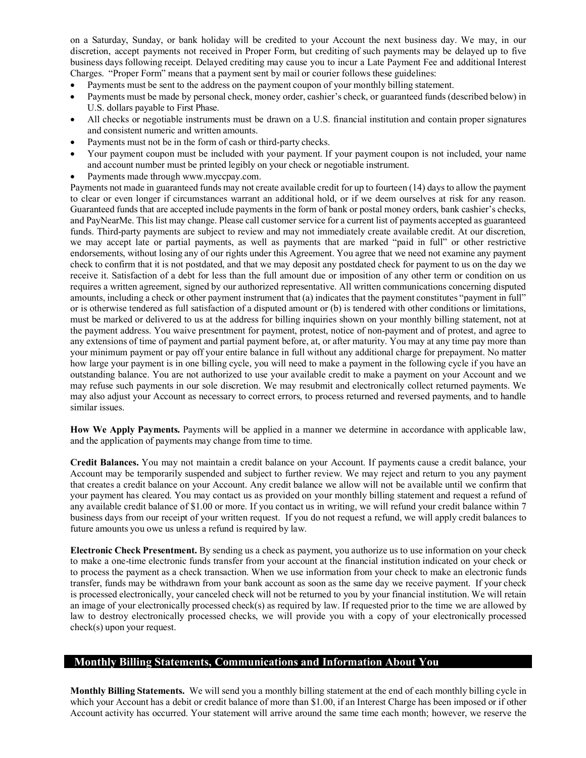on a Saturday, Sunday, or bank holiday will be credited to your Account the next business day. We may, in our discretion, accept payments not received in Proper Form, but crediting of such payments may be delayed up to five business days following receipt. Delayed crediting may cause you to incur a Late Payment Fee and additional Interest Charges. "Proper Form" means that a payment sent by mail or courier follows these guidelines:

- Payments must be sent to the address on the payment coupon of your monthly billing statement.
- Payments must be made by personal check, money order, cashier's check, or guaranteed funds (described below) in U.S. dollars payable to First Phase.
- All checks or negotiable instruments must be drawn on a U.S. financial institution and contain proper signatures and consistent numeric and written amounts.
- Payments must not be in the form of cash or third-party checks.
- Your payment coupon must be included with your payment. If your payment coupon is not included, your name and account number must be printed legibly on your check or negotiable instrument.
- Payments made through www.myccpay.com.

Payments not made in guaranteed funds may not create available credit for up to fourteen (14) days to allow the payment to clear or even longer if circumstances warrant an additional hold, or if we deem ourselves at risk for any reason. Guaranteed funds that are accepted include payments in the form of bank or postal money orders, bank cashier's checks, and PayNearMe. This list may change. Please call customer service for a current list of payments accepted as guaranteed funds. Third-party payments are subject to review and may not immediately create available credit. At our discretion, we may accept late or partial payments, as well as payments that are marked "paid in full" or other restrictive endorsements, without losing any of our rights under this Agreement. You agree that we need not examine any payment check to confirm that it is not postdated, and that we may deposit any postdated check for payment to us on the day we receive it. Satisfaction of a debt for less than the full amount due or imposition of any other term or condition on us requires a written agreement, signed by our authorized representative. All written communications concerning disputed amounts, including a check or other payment instrument that (a) indicates that the payment constitutes "payment in full" or is otherwise tendered as full satisfaction of a disputed amount or (b) is tendered with other conditions or limitations, must be marked or delivered to us at the address for billing inquiries shown on your monthly billing statement, not at the payment address. You waive presentment for payment, protest, notice of non-payment and of protest, and agree to any extensions of time of payment and partial payment before, at, or after maturity. You may at any time pay more than your minimum payment or pay off your entire balance in full without any additional charge for prepayment. No matter how large your payment is in one billing cycle, you will need to make a payment in the following cycle if you have an outstanding balance. You are not authorized to use your available credit to make a payment on your Account and we may refuse such payments in our sole discretion. We may resubmit and electronically collect returned payments. We may also adjust your Account as necessary to correct errors, to process returned and reversed payments, and to handle similar issues.

**How We Apply Payments.** Payments will be applied in a manner we determine in accordance with applicable law, and the application of payments may change from time to time.

**Credit Balances.** You may not maintain a credit balance on your Account. If payments cause a credit balance, your Account may be temporarily suspended and subject to further review. We may reject and return to you any payment that creates a credit balance on your Account. Any credit balance we allow will not be available until we confirm that your payment has cleared. You may contact us as provided on your monthly billing statement and request a refund of any available credit balance of \$1.00 or more. If you contact us in writing, we will refund your credit balance within 7 business days from our receipt of your written request. If you do not request a refund, we will apply credit balances to future amounts you owe us unless a refund is required by law.

**Electronic Check Presentment.** By sending us a check as payment, you authorize us to use information on your check to make a one-time electronic funds transfer from your account at the financial institution indicated on your check or to process the payment as a check transaction. When we use information from your check to make an electronic funds transfer, funds may be withdrawn from your bank account as soon as the same day we receive payment. If your check is processed electronically, your canceled check will not be returned to you by your financial institution. We will retain an image of your electronically processed check(s) as required by law. If requested prior to the time we are allowed by law to destroy electronically processed checks, we will provide you with a copy of your electronically processed check(s) upon your request.

## **Monthly Billing Statements, Communications and Information About You**

**Monthly Billing Statements.** We will send you a monthly billing statement at the end of each monthly billing cycle in which your Account has a debit or credit balance of more than \$1.00, if an Interest Charge has been imposed or if other Account activity has occurred. Your statement will arrive around the same time each month; however, we reserve the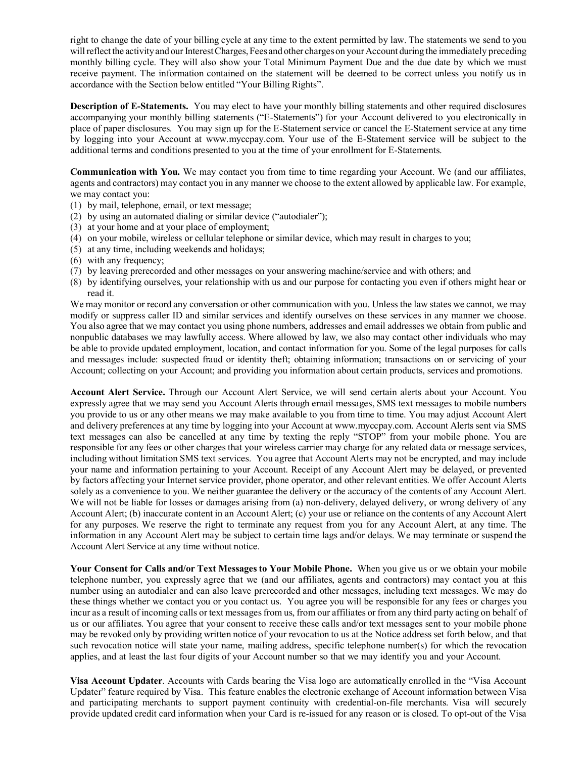right to change the date of your billing cycle at any time to the extent permitted by law. The statements we send to you will reflect the activity and our Interest Charges, Fees and other charges on your Account during the immediately preceding monthly billing cycle. They will also show your Total Minimum Payment Due and the due date by which we must receive payment. The information contained on the statement will be deemed to be correct unless you notify us in accordance with the Section below entitled "Your Billing Rights".

**Description of E-Statements.** You may elect to have your monthly billing statements and other required disclosures accompanying your monthly billing statements ("E-Statements") for your Account delivered to you electronically in place of paper disclosures. You may sign up for the E-Statement service or cancel the E-Statement service at any time by logging into your Account at [www.myccpay.com.](http://www.myccpay.com/) Your use of the E-Statement service will be subject to the additional terms and conditions presented to you at the time of your enrollment for E-Statements.

**Communication with You.** We may contact you from time to time regarding your Account. We (and our affiliates, agents and contractors) may contact you in any manner we choose to the extent allowed by applicable law. For example, we may contact you:

- (1) by mail, telephone, email, or text message;
- (2) by using an automated dialing or similar device ("autodialer");
- (3) at your home and at your place of employment;
- (4) on your mobile, wireless or cellular telephone or similar device, which may result in charges to you;
- (5) at any time, including weekends and holidays;
- (6) with any frequency;
- (7) by leaving prerecorded and other messages on your answering machine/service and with others; and
- (8) by identifying ourselves, your relationship with us and our purpose for contacting you even if others might hear or read it.

We may monitor or record any conversation or other communication with you. Unless the law states we cannot, we may modify or suppress caller ID and similar services and identify ourselves on these services in any manner we choose. You also agree that we may contact you using phone numbers, addresses and email addresses we obtain from public and nonpublic databases we may lawfully access. Where allowed by law, we also may contact other individuals who may be able to provide updated employment, location, and contact information for you. Some of the legal purposes for calls and messages include: suspected fraud or identity theft; obtaining information; transactions on or servicing of your Account; collecting on your Account; and providing you information about certain products, services and promotions.

**Account Alert Service.** Through our Account Alert Service, we will send certain alerts about your Account. You expressly agree that we may send you Account Alerts through email messages, SMS text messages to mobile numbers you provide to us or any other means we may make available to you from time to time. You may adjust Account Alert and delivery preferences at any time by logging into your Account at [www.myccpay.com.](http://www.myccpay.com/) Account Alerts sent via SMS text messages can also be cancelled at any time by texting the reply "STOP" from your mobile phone. You are responsible for any fees or other charges that your wireless carrier may charge for any related data or message services, including without limitation SMS text services. You agree that Account Alerts may not be encrypted, and may include your name and information pertaining to your Account. Receipt of any Account Alert may be delayed, or prevented by factors affecting your Internet service provider, phone operator, and other relevant entities. We offer Account Alerts solely as a convenience to you. We neither guarantee the delivery or the accuracy of the contents of any Account Alert. We will not be liable for losses or damages arising from (a) non-delivery, delayed delivery, or wrong delivery of any Account Alert; (b) inaccurate content in an Account Alert; (c) your use or reliance on the contents of any Account Alert for any purposes. We reserve the right to terminate any request from you for any Account Alert, at any time. The information in any Account Alert may be subject to certain time lags and/or delays. We may terminate or suspend the Account Alert Service at any time without notice.

**Your Consent for Calls and/or Text Messages to Your Mobile Phone.** When you give us or we obtain your mobile telephone number, you expressly agree that we (and our affiliates, agents and contractors) may contact you at this number using an autodialer and can also leave prerecorded and other messages, including text messages. We may do these things whether we contact you or you contact us. You agree you will be responsible for any fees or charges you incur as a result of incoming calls or text messages from us, from our affiliates or from any third party acting on behalf of us or our affiliates. You agree that your consent to receive these calls and/or text messages sent to your mobile phone may be revoked only by providing written notice of your revocation to us at the Notice address set forth below, and that such revocation notice will state your name, mailing address, specific telephone number(s) for which the revocation applies, and at least the last four digits of your Account number so that we may identify you and your Account.

**Visa Account Updater**. Accounts with Cards bearing the Visa logo are automatically enrolled in the "Visa Account Updater" feature required by Visa. This feature enables the electronic exchange of Account information between Visa and participating merchants to support payment continuity with credential-on-file merchants. Visa will securely provide updated credit card information when your Card is re-issued for any reason or is closed. To opt-out of the Visa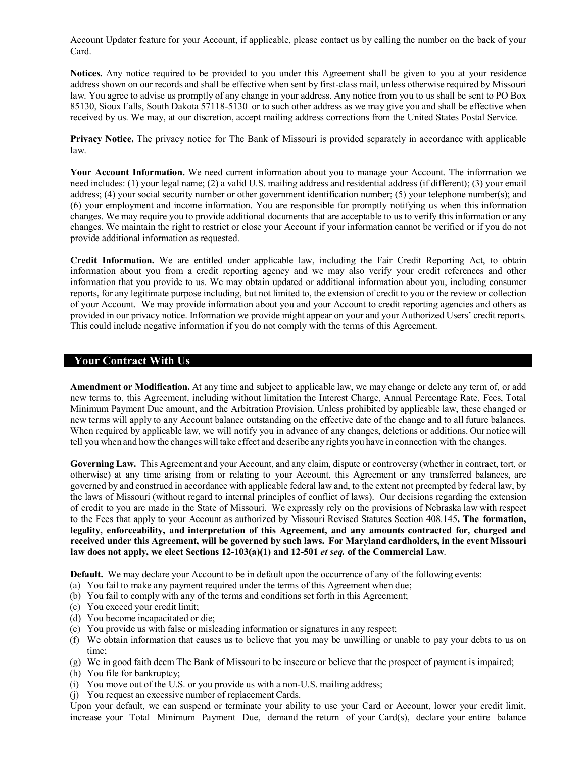Account Updater feature for your Account, if applicable, please contact us by calling the number on the back of your Card.

**Notices.** Any notice required to be provided to you under this Agreement shall be given to you at your residence address shown on our records and shall be effective when sent by first-class mail, unless otherwise required by Missouri law. You agree to advise us promptly of any change in your address. Any notice from you to us shall be sent to PO Box 85130, Sioux Falls, South Dakota 57118-5130 or to such other address as we may give you and shall be effective when received by us. We may, at our discretion, accept mailing address corrections from the United States Postal Service.

**Privacy Notice.** The privacy notice for The Bank of Missouri is provided separately in accordance with applicable law.

**Your Account Information.** We need current information about you to manage your Account. The information we need includes: (1) your legal name; (2) a valid U.S. mailing address and residential address (if different); (3) your email address; (4) your social security number or other government identification number; (5) your telephone number(s); and (6) your employment and income information. You are responsible for promptly notifying us when this information changes. We may require you to provide additional documents that are acceptable to us to verify this information or any changes. We maintain the right to restrict or close your Account if your information cannot be verified or if you do not provide additional information as requested.

**Credit Information.** We are entitled under applicable law, including the Fair Credit Reporting Act, to obtain information about you from a credit reporting agency and we may also verify your credit references and other information that you provide to us. We may obtain updated or additional information about you, including consumer reports, for any legitimate purpose including, but not limited to, the extension of credit to you or the review or collection of your Account. We may provide information about you and your Account to credit reporting agencies and others as provided in our privacy notice. Information we provide might appear on your and your Authorized Users' credit reports. This could include negative information if you do not comply with the terms of this Agreement.

## **Your Contract With Us**

**Amendment or Modification.** At any time and subject to applicable law, we may change or delete any term of, or add new terms to, this Agreement, including without limitation the Interest Charge, Annual Percentage Rate, Fees, Total Minimum Payment Due amount, and the Arbitration Provision. Unless prohibited by applicable law, these changed or new terms will apply to any Account balance outstanding on the effective date of the change and to all future balances. When required by applicable law, we will notify you in advance of any changes, deletions or additions. Our notice will tell you when and how the changes will take effect and describe any rights you have in connection with the changes.

**Governing Law.** This Agreement and your Account, and any claim, dispute or controversy (whether in contract, tort, or otherwise) at any time arising from or relating to your Account, this Agreement or any transferred balances, are governed by and construed in accordance with applicable federal law and, to the extent not preempted by federal law, by the laws of Missouri (without regard to internal principles of conflict of laws). Our decisions regarding the extension of credit to you are made in the State of Missouri. We expressly rely on the provisions of Nebraska law with respect to the Fees that apply to your Account as authorized by Missouri Revised Statutes Section 408.145**. The formation, legality, enforceability, and interpretation of this Agreement, and any amounts contracted for, charged and received under this Agreement, will be governed by such laws. For Maryland cardholders, in the event Missouri law does not apply, we elect Sections 12-103(a)(1) and 12-501** *et seq.* **of the Commercial Law**.

**Default.** We may declare your Account to be in default upon the occurrence of any of the following events:

- (a) You fail to make any payment required under the terms of this Agreement when due;
- (b) You fail to comply with any of the terms and conditions set forth in this Agreement;
- (c) You exceed your credit limit;
- (d) You become incapacitated or die;
- (e) You provide us with false or misleading information or signatures in any respect;
- (f) We obtain information that causes us to believe that you may be unwilling or unable to pay your debts to us on time;
- (g) We in good faith deem The Bank of Missouri to be insecure or believe that the prospect of payment is impaired; (h) You file for bankruptcy;
- (i) You move out of the U.S. or you provide us with a non-U.S. mailing address;
- (j) You request an excessive number of replacement Cards.

Upon your default, we can suspend or terminate your ability to use your Card or Account, lower your credit limit, increase your Total Minimum Payment Due, demand the return of your Card(s), declare your entire balance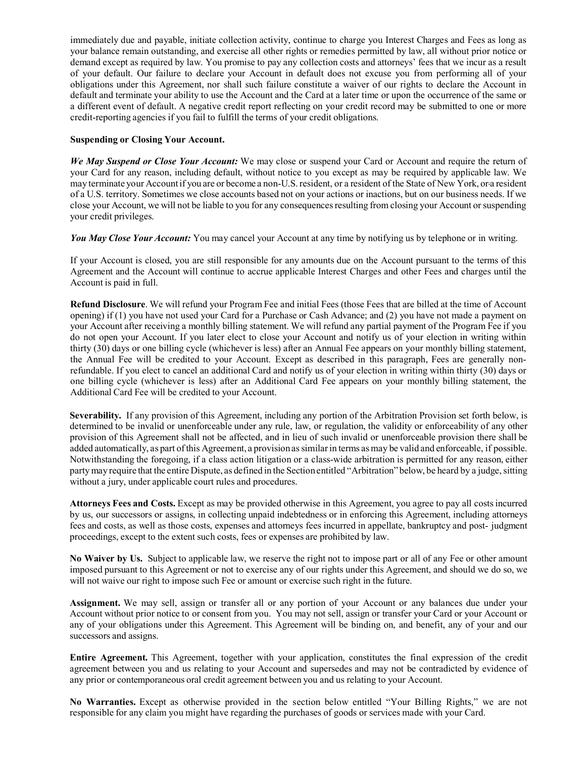immediately due and payable, initiate collection activity, continue to charge you Interest Charges and Fees as long as your balance remain outstanding, and exercise all other rights or remedies permitted by law, all without prior notice or demand except as required by law. You promise to pay any collection costs and attorneys' fees that we incur as a result of your default. Our failure to declare your Account in default does not excuse you from performing all of your obligations under this Agreement, nor shall such failure constitute a waiver of our rights to declare the Account in default and terminate your ability to use the Account and the Card at a later time or upon the occurrence of the same or a different event of default. A negative credit report reflecting on your credit record may be submitted to one or more credit-reporting agencies if you fail to fulfill the terms of your credit obligations.

## **Suspending or Closing Your Account.**

*We May Suspend or Close Your Account:* We may close or suspend your Card or Account and require the return of your Card for any reason, including default, without notice to you except as may be required by applicable law. We may terminate your Accountif you are or become a non-U.S.resident, or a resident of the State of New York, or a resident of a U.S. territory. Sometimes we close accounts based not on your actions or inactions, but on our business needs. If we close your Account, we will not be liable to you for any consequencesresulting from closing your Account orsuspending your credit privileges.

*You May Close Your Account:* You may cancel your Account at any time by notifying us by telephone or in writing.

If your Account is closed, you are still responsible for any amounts due on the Account pursuant to the terms of this Agreement and the Account will continue to accrue applicable Interest Charges and other Fees and charges until the Account is paid in full.

**Refund Disclosure**. We will refund your Program Fee and initial Fees (those Fees that are billed at the time of Account opening) if (1) you have not used your Card for a Purchase or Cash Advance; and (2) you have not made a payment on your Account after receiving a monthly billing statement. We will refund any partial payment of the Program Fee if you do not open your Account. If you later elect to close your Account and notify us of your election in writing within thirty (30) days or one billing cycle (whichever is less) after an Annual Fee appears on your monthly billing statement, the Annual Fee will be credited to your Account. Except as described in this paragraph, Fees are generally nonrefundable. If you elect to cancel an additional Card and notify us of your election in writing within thirty (30) days or one billing cycle (whichever is less) after an Additional Card Fee appears on your monthly billing statement, the Additional Card Fee will be credited to your Account.

**Severability.** If any provision of this Agreement, including any portion of the Arbitration Provision set forth below, is determined to be invalid or unenforceable under any rule, law, or regulation, the validity or enforceability of any other provision of this Agreement shall not be affected, and in lieu of such invalid or unenforceable provision there shall be added automatically, as part ofthis Agreement, a provisionassimilarin terms as may be valid and enforceable, if possible. Notwithstanding the foregoing, if a class action litigation or a class-wide arbitration is permitted for any reason, either party may require that the entire Dispute, as defined in the Section entitled "Arbitration" below, be heard by a judge, sitting without a jury, under applicable court rules and procedures.

**Attorneys Fees and Costs.** Except as may be provided otherwise in this Agreement, you agree to pay all costs incurred by us, our successors or assigns, in collecting unpaid indebtedness or in enforcing this Agreement, including attorneys fees and costs, as well as those costs, expenses and attorneys fees incurred in appellate, bankruptcy and post- judgment proceedings, except to the extent such costs, fees or expenses are prohibited by law.

**No Waiver by Us.** Subject to applicable law, we reserve the right not to impose part or all of any Fee or other amount imposed pursuant to this Agreement or not to exercise any of our rights under this Agreement, and should we do so, we will not waive our right to impose such Fee or amount or exercise such right in the future.

**Assignment.** We may sell, assign or transfer all or any portion of your Account or any balances due under your Account without prior notice to or consent from you. You may not sell, assign or transfer your Card or your Account or any of your obligations under this Agreement. This Agreement will be binding on, and benefit, any of your and our successors and assigns.

**Entire Agreement.** This Agreement, together with your application, constitutes the final expression of the credit agreement between you and us relating to your Account and supersedes and may not be contradicted by evidence of any prior or contemporaneous oral credit agreement between you and us relating to your Account.

**No Warranties.** Except as otherwise provided in the section below entitled "Your Billing Rights," we are not responsible for any claim you might have regarding the purchases of goods or services made with your Card.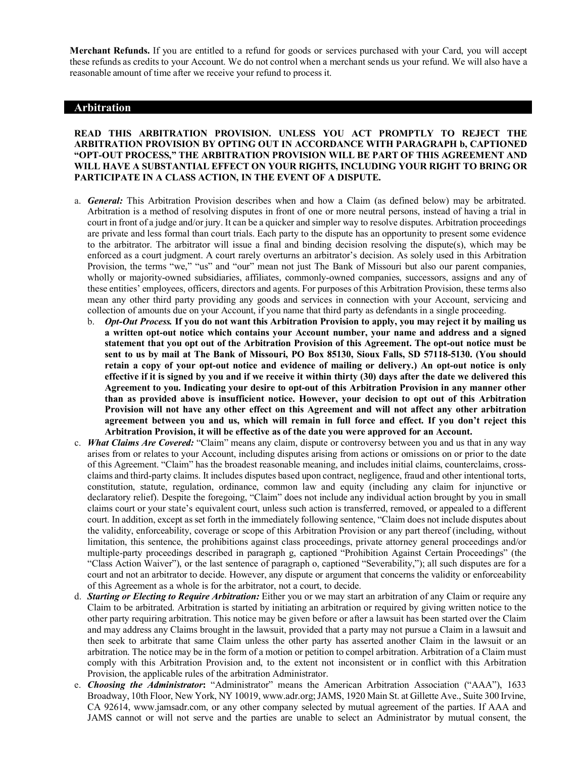**Merchant Refunds.** If you are entitled to a refund for goods or services purchased with your Card, you will accept these refunds as credits to your Account. We do not control when a merchant sends us your refund. We will also have a reasonable amount of time after we receive your refund to process it.

## **Arbitration**

### **READ THIS ARBITRATION PROVISION. UNLESS YOU ACT PROMPTLY TO REJECT THE ARBITRATION PROVISION BY OPTING OUT IN ACCORDANCE WITH PARAGRAPH b, CAPTIONED "OPT-OUT PROCESS," THE ARBITRATION PROVISION WILL BE PART OF THIS AGREEMENT AND WILL HAVE A SUBSTANTIAL EFFECT ON YOUR RIGHTS, INCLUDING YOUR RIGHT TO BRING OR PARTICIPATE IN A CLASS ACTION, IN THE EVENT OF A DISPUTE.**

- a. *General:* This Arbitration Provision describes when and how a Claim (as defined below) may be arbitrated. Arbitration is a method of resolving disputes in front of one or more neutral persons, instead of having a trial in court in front of a judge and/or jury. It can be a quicker and simpler way to resolve disputes. Arbitration proceedings are private and less formal than court trials. Each party to the dispute has an opportunity to present some evidence to the arbitrator. The arbitrator will issue a final and binding decision resolving the dispute(s), which may be enforced as a court judgment. A court rarely overturns an arbitrator's decision. As solely used in this Arbitration Provision, the terms "we," "us" and "our" mean not just The Bank of Missouri but also our parent companies, wholly or majority-owned subsidiaries, affiliates, commonly-owned companies, successors, assigns and any of these entities' employees, officers, directors and agents. For purposes of this Arbitration Provision, these terms also mean any other third party providing any goods and services in connection with your Account, servicing and collection of amounts due on your Account, if you name that third party as defendants in a single proceeding.
	- b. *Opt-Out Process.* **If you do not want this Arbitration Provision to apply, you may reject it by mailing us a written opt-out notice which contains your Account number, your name and address and a signed statement that you opt out of the Arbitration Provision of this Agreement. The opt-out notice must be sent to us by mail at The Bank of Missouri, PO Box 85130, Sioux Falls, SD 57118-5130. (You should retain a copy of your opt-out notice and evidence of mailing or delivery.) An opt-out notice is only effective if it is signed by you and if we receive it within thirty (30) days after the date we delivered this Agreement to you. Indicating your desire to opt-out of this Arbitration Provision in any manner other than as provided above is insufficient notice. However, your decision to opt out of this Arbitration Provision will not have any other effect on this Agreement and will not affect any other arbitration agreement between you and us, which will remain in full force and effect. If you don't reject this Arbitration Provision, it will be effective as of the date you were approved for an Account.**
- c. *What Claims Are Covered:* "Claim" means any claim, dispute or controversy between you and us that in any way arises from or relates to your Account, including disputes arising from actions or omissions on or prior to the date of this Agreement. "Claim" has the broadest reasonable meaning, and includes initial claims, counterclaims, crossclaims and third-party claims. It includes disputes based upon contract, negligence, fraud and other intentional torts, constitution, statute, regulation, ordinance, common law and equity (including any claim for injunctive or declaratory relief). Despite the foregoing, "Claim" does not include any individual action brought by you in small claims court or your state's equivalent court, unless such action is transferred, removed, or appealed to a different court. In addition, except as set forth in the immediately following sentence, "Claim does not include disputes about the validity, enforceability, coverage or scope of this Arbitration Provision or any part thereof (including, without limitation, this sentence, the prohibitions against class proceedings, private attorney general proceedings and/or multiple-party proceedings described in paragraph g, captioned "Prohibition Against Certain Proceedings" (the "Class Action Waiver"), or the last sentence of paragraph o, captioned "Severability,"); all such disputes are for a court and not an arbitrator to decide. However, any dispute or argument that concerns the validity or enforceability of this Agreement as a whole is for the arbitrator, not a court, to decide.
- d. *Starting or Electing to Require Arbitration:* Either you or we may start an arbitration of any Claim or require any Claim to be arbitrated. Arbitration is started by initiating an arbitration or required by giving written notice to the other party requiring arbitration. This notice may be given before or after a lawsuit has been started over the Claim and may address any Claims brought in the lawsuit, provided that a party may not pursue a Claim in a lawsuit and then seek to arbitrate that same Claim unless the other party has asserted another Claim in the lawsuit or an arbitration. The notice may be in the form of a motion or petition to compel arbitration. Arbitration of a Claim must comply with this Arbitration Provision and, to the extent not inconsistent or in conflict with this Arbitration Provision, the applicable rules of the arbitration Administrator.
- e. *Choosing the Administrator***:** "Administrator" means the American Arbitration Association ("AAA"), 1633 Broadway, 10th Floor, New York, NY 10019[, www.adr.org;](http://www.adr.org/) JAMS, 1920 Main St. at Gillette Ave., Suite 300 Irvine, CA 92614, [www.jamsadr.com,](http://www.jamsadr.com/) or any other company selected by mutual agreement of the parties. If AAA and JAMS cannot or will not serve and the parties are unable to select an Administrator by mutual consent, the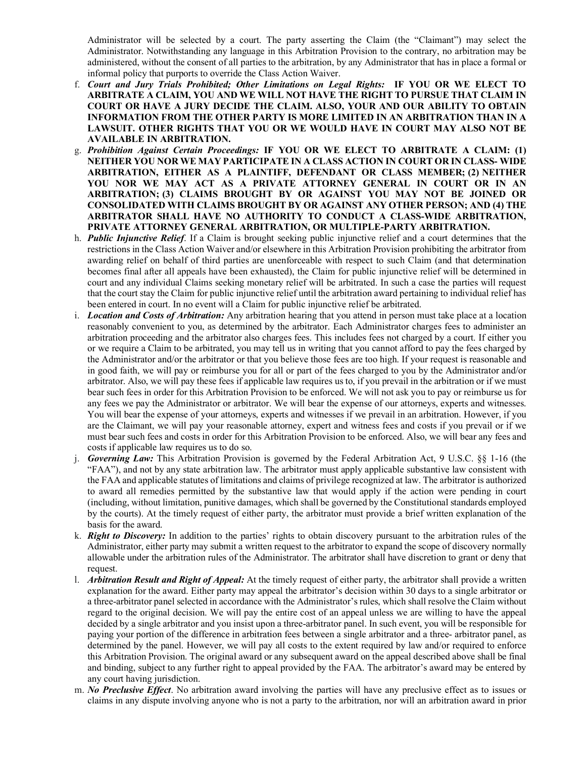Administrator will be selected by a court. The party asserting the Claim (the "Claimant") may select the Administrator. Notwithstanding any language in this Arbitration Provision to the contrary, no arbitration may be administered, without the consent of all parties to the arbitration, by any Administrator that has in place a formal or informal policy that purports to override the Class Action Waiver.

- f. *Court and Jury Trials Prohibited; Other Limitations on Legal Rights:* **IF YOU OR WE ELECT TO ARBITRATE A CLAIM, YOU AND WE WILL NOT HAVE THE RIGHT TO PURSUE THAT CLAIM IN COURT OR HAVE A JURY DECIDE THE CLAIM. ALSO, YOUR AND OUR ABILITY TO OBTAIN INFORMATION FROM THE OTHER PARTY IS MORE LIMITED IN AN ARBITRATION THAN IN A LAWSUIT. OTHER RIGHTS THAT YOU OR WE WOULD HAVE IN COURT MAY ALSO NOT BE AVAILABLE IN ARBITRATION.**
- g. *Prohibition Against Certain Proceedings:* **IF YOU OR WE ELECT TO ARBITRATE A CLAIM: (1) NEITHER YOU NOR WE MAY PARTICIPATE IN A CLASS ACTION IN COURT OR IN CLASS- WIDE ARBITRATION, EITHER AS A PLAINTIFF, DEFENDANT OR CLASS MEMBER; (2) NEITHER YOU NOR WE MAY ACT AS A PRIVATE ATTORNEY GENERAL IN COURT OR IN AN ARBITRATION; (3) CLAIMS BROUGHT BY OR AGAINST YOU MAY NOT BE JOINED OR CONSOLIDATED WITH CLAIMS BROUGHT BY OR AGAINST ANY OTHER PERSON; AND (4) THE ARBITRATOR SHALL HAVE NO AUTHORITY TO CONDUCT A CLASS-WIDE ARBITRATION, PRIVATE ATTORNEY GENERAL ARBITRATION, OR MULTIPLE-PARTY ARBITRATION.**
- h. *Public Injunctive Relief*. If a Claim is brought seeking public injunctive relief and a court determines that the restrictions in the Class Action Waiver and/or elsewhere in this Arbitration Provision prohibiting the arbitrator from awarding relief on behalf of third parties are unenforceable with respect to such Claim (and that determination becomes final after all appeals have been exhausted), the Claim for public injunctive relief will be determined in court and any individual Claims seeking monetary relief will be arbitrated. In such a case the parties will request that the court stay the Claim for public injunctive relief until the arbitration award pertaining to individual relief has been entered in court. In no event will a Claim for public injunctive relief be arbitrated.
- i. *Location and Costs of Arbitration:* Any arbitration hearing that you attend in person must take place at a location reasonably convenient to you, as determined by the arbitrator. Each Administrator charges fees to administer an arbitration proceeding and the arbitrator also charges fees. This includes fees not charged by a court. If either you or we require a Claim to be arbitrated, you may tell us in writing that you cannot afford to pay the fees charged by the Administrator and/or the arbitrator or that you believe those fees are too high. If your request is reasonable and in good faith, we will pay or reimburse you for all or part of the fees charged to you by the Administrator and/or arbitrator. Also, we will pay these fees if applicable law requires us to, if you prevail in the arbitration or if we must bear such fees in order for this Arbitration Provision to be enforced. We will not ask you to pay or reimburse us for any fees we pay the Administrator or arbitrator. We will bear the expense of our attorneys, experts and witnesses. You will bear the expense of your attorneys, experts and witnesses if we prevail in an arbitration. However, if you are the Claimant, we will pay your reasonable attorney, expert and witness fees and costs if you prevail or if we must bear such fees and costs in order for this Arbitration Provision to be enforced. Also, we will bear any fees and costs if applicable law requires us to do so.
- j. *Governing Law:* This Arbitration Provision is governed by the Federal Arbitration Act, 9 U.S.C. §§ 1-16 (the "FAA"), and not by any state arbitration law. The arbitrator must apply applicable substantive law consistent with the FAA and applicable statutes of limitations and claims of privilege recognized at law. The arbitrator is authorized to award all remedies permitted by the substantive law that would apply if the action were pending in court (including, without limitation, punitive damages, which shall be governed by the Constitutional standards employed by the courts). At the timely request of either party, the arbitrator must provide a brief written explanation of the basis for the award.
- k. *Right to Discovery:* In addition to the parties' rights to obtain discovery pursuant to the arbitration rules of the Administrator, either party may submit a written request to the arbitrator to expand the scope of discovery normally allowable under the arbitration rules of the Administrator. The arbitrator shall have discretion to grant or deny that request.
- l. *Arbitration Result and Right of Appeal:* At the timely request of either party, the arbitrator shall provide a written explanation for the award. Either party may appeal the arbitrator's decision within 30 days to a single arbitrator or a three-arbitrator panel selected in accordance with the Administrator's rules, which shall resolve the Claim without regard to the original decision. We will pay the entire cost of an appeal unless we are willing to have the appeal decided by a single arbitrator and you insist upon a three-arbitrator panel. In such event, you will be responsible for paying your portion of the difference in arbitration fees between a single arbitrator and a three- arbitrator panel, as determined by the panel. However, we will pay all costs to the extent required by law and/or required to enforce this Arbitration Provision. The original award or any subsequent award on the appeal described above shall be final and binding, subject to any further right to appeal provided by the FAA. The arbitrator's award may be entered by any court having jurisdiction.
- m. *No Preclusive Effect*. No arbitration award involving the parties will have any preclusive effect as to issues or claims in any dispute involving anyone who is not a party to the arbitration, nor will an arbitration award in prior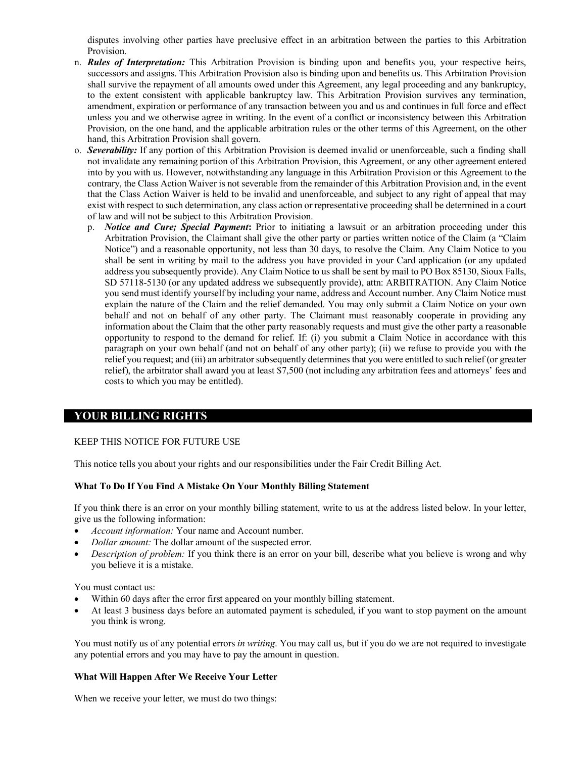disputes involving other parties have preclusive effect in an arbitration between the parties to this Arbitration Provision.

- n. *Rules of Interpretation:* This Arbitration Provision is binding upon and benefits you, your respective heirs, successors and assigns. This Arbitration Provision also is binding upon and benefits us. This Arbitration Provision shall survive the repayment of all amounts owed under this Agreement, any legal proceeding and any bankruptcy, to the extent consistent with applicable bankruptcy law. This Arbitration Provision survives any termination, amendment, expiration or performance of any transaction between you and us and continues in full force and effect unless you and we otherwise agree in writing. In the event of a conflict or inconsistency between this Arbitration Provision, on the one hand, and the applicable arbitration rules or the other terms of this Agreement, on the other hand, this Arbitration Provision shall govern.
- o. *Severability:* If any portion of this Arbitration Provision is deemed invalid or unenforceable, such a finding shall not invalidate any remaining portion of this Arbitration Provision, this Agreement, or any other agreement entered into by you with us. However, notwithstanding any language in this Arbitration Provision or this Agreement to the contrary, the Class Action Waiver is not severable from the remainder of this Arbitration Provision and, in the event that the Class Action Waiver is held to be invalid and unenforceable, and subject to any right of appeal that may exist with respect to such determination, any class action or representative proceeding shall be determined in a court of law and will not be subject to this Arbitration Provision.
	- p. *Notice and Cure; Special Payment***:** Prior to initiating a lawsuit or an arbitration proceeding under this Arbitration Provision, the Claimant shall give the other party or parties written notice of the Claim (a "Claim Notice") and a reasonable opportunity, not less than 30 days, to resolve the Claim. Any Claim Notice to you shall be sent in writing by mail to the address you have provided in your Card application (or any updated address you subsequently provide). Any Claim Notice to us shall be sent by mail to PO Box 85130, Sioux Falls, SD 57118-5130 (or any updated address we subsequently provide), attn: ARBITRATION. Any Claim Notice you send must identify yourself by including your name, address and Account number. Any Claim Notice must explain the nature of the Claim and the relief demanded. You may only submit a Claim Notice on your own behalf and not on behalf of any other party. The Claimant must reasonably cooperate in providing any information about the Claim that the other party reasonably requests and must give the other party a reasonable opportunity to respond to the demand for relief. If: (i) you submit a Claim Notice in accordance with this paragraph on your own behalf (and not on behalf of any other party); (ii) we refuse to provide you with the relief you request; and (iii) an arbitrator subsequently determines that you were entitled to such relief (or greater relief), the arbitrator shall award you at least \$7,500 (not including any arbitration fees and attorneys' fees and costs to which you may be entitled).

# **YOUR BILLING RIGHTS**

## KEEP THIS NOTICE FOR FUTURE USE

This notice tells you about your rights and our responsibilities under the Fair Credit Billing Act.

#### **What To Do If You Find A Mistake On Your Monthly Billing Statement**

If you think there is an error on your monthly billing statement, write to us at the address listed below. In your letter, give us the following information:

- *Account information:* Your name and Account number.
- *Dollar amount:* The dollar amount of the suspected error.
- *Description of problem:* If you think there is an error on your bill, describe what you believe is wrong and why you believe it is a mistake.

You must contact us:

- Within 60 days after the error first appeared on your monthly billing statement.
- At least 3 business days before an automated payment is scheduled, if you want to stop payment on the amount you think is wrong.

You must notify us of any potential errors *in writing*. You may call us, but if you do we are not required to investigate any potential errors and you may have to pay the amount in question.

#### **What Will Happen After We Receive Your Letter**

When we receive your letter, we must do two things: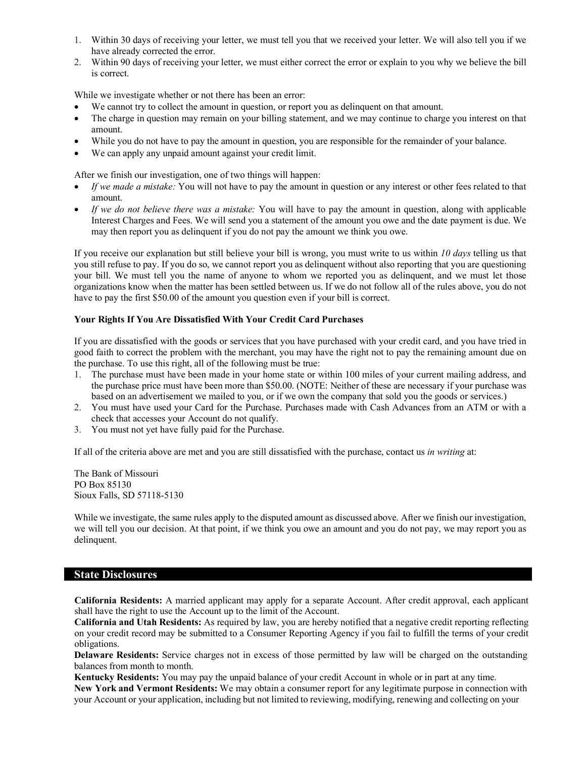- 1. Within 30 days of receiving your letter, we must tell you that we received your letter. We will also tell you if we have already corrected the error.
- 2. Within 90 days of receiving your letter, we must either correct the error or explain to you why we believe the bill is correct.

While we investigate whether or not there has been an error:

- We cannot try to collect the amount in question, or report you as delinquent on that amount.
- The charge in question may remain on your billing statement, and we may continue to charge you interest on that amount.
- While you do not have to pay the amount in question, you are responsible for the remainder of your balance.
- We can apply any unpaid amount against your credit limit.

After we finish our investigation, one of two things will happen:

- *If we made a mistake:* You will not have to pay the amount in question or any interest or other fees related to that amount.
- *If we do not believe there was a mistake:* You will have to pay the amount in question, along with applicable Interest Charges and Fees. We will send you a statement of the amount you owe and the date payment is due. We may then report you as delinquent if you do not pay the amount we think you owe.

If you receive our explanation but still believe your bill is wrong, you must write to us within *10 days* telling us that you still refuse to pay. If you do so, we cannot report you as delinquent without also reporting that you are questioning your bill. We must tell you the name of anyone to whom we reported you as delinquent, and we must let those organizations know when the matter has been settled between us. If we do not follow all of the rules above, you do not have to pay the first \$50.00 of the amount you question even if your bill is correct.

### **Your Rights If You Are Dissatisfied With Your Credit Card Purchases**

If you are dissatisfied with the goods or services that you have purchased with your credit card, and you have tried in good faith to correct the problem with the merchant, you may have the right not to pay the remaining amount due on the purchase. To use this right, all of the following must be true:

- 1. The purchase must have been made in your home state or within 100 miles of your current mailing address, and the purchase price must have been more than \$50.00. (NOTE: Neither of these are necessary if your purchase was based on an advertisement we mailed to you, or if we own the company that sold you the goods or services.)
- 2. You must have used your Card for the Purchase. Purchases made with Cash Advances from an ATM or with a check that accesses your Account do not qualify.
- 3. You must not yet have fully paid for the Purchase.

If all of the criteria above are met and you are still dissatisfied with the purchase, contact us *in writing* at:

The Bank of Missouri PO Box 85130 Sioux Falls, SD 57118-5130

While we investigate, the same rules apply to the disputed amount as discussed above. After we finish our investigation, we will tell you our decision. At that point, if we think you owe an amount and you do not pay, we may report you as delinquent.

# **State Disclosures**

**California Residents:** A married applicant may apply for a separate Account. After credit approval, each applicant shall have the right to use the Account up to the limit of the Account.

**California and Utah Residents:** As required by law, you are hereby notified that a negative credit reporting reflecting on your credit record may be submitted to a Consumer Reporting Agency if you fail to fulfill the terms of your credit obligations.

**Delaware Residents:** Service charges not in excess of those permitted by law will be charged on the outstanding balances from month to month.

**Kentucky Residents:** You may pay the unpaid balance of your credit Account in whole or in part at any time. **New York and Vermont Residents:** We may obtain a consumer report for any legitimate purpose in connection with your Account or your application, including but not limited to reviewing, modifying, renewing and collecting on your